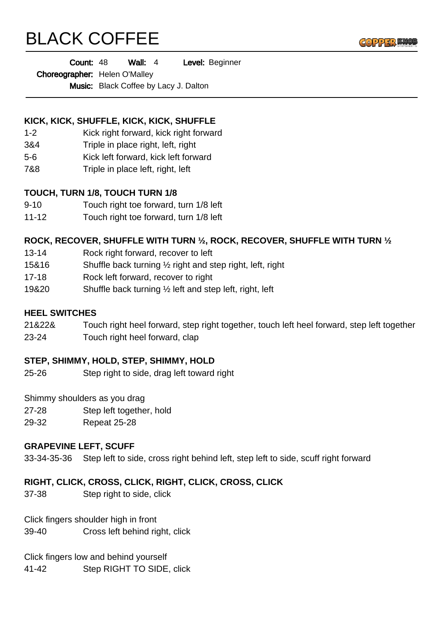# BLACK COFFEE



Choreographer: Helen O'Malley

Music: Black Coffee by Lacy J. Dalton

# **KICK, KICK, SHUFFLE, KICK, KICK, SHUFFLE**

- 1-2 Kick right forward, kick right forward
- 3&4 Triple in place right, left, right
- 5-6 Kick left forward, kick left forward
- 7&8 Triple in place left, right, left

## **TOUCH, TURN 1/8, TOUCH TURN 1/8**

- 9-10 Touch right toe forward, turn 1/8 left
- 11-12 Touch right toe forward, turn 1/8 left

# **ROCK, RECOVER, SHUFFLE WITH TURN ½, ROCK, RECOVER, SHUFFLE WITH TURN ½**

- 13-14 Rock right forward, recover to left
- 15&16 Shuffle back turning ½ right and step right, left, right
- 17-18 Rock left forward, recover to right
- 19&20 Shuffle back turning ½ left and step left, right, left

#### **HEEL SWITCHES**

- 21&22& Touch right heel forward, step right together, touch left heel forward, step left together
- 23-24 Touch right heel forward, clap

#### **STEP, SHIMMY, HOLD, STEP, SHIMMY, HOLD**

25-26 Step right to side, drag left toward right

Shimmy shoulders as you drag

- 27-28 Step left together, hold
- 29-32 Repeat 25-28

#### **GRAPEVINE LEFT, SCUFF**

33-34-35-36 Step left to side, cross right behind left, step left to side, scuff right forward

# **RIGHT, CLICK, CROSS, CLICK, RIGHT, CLICK, CROSS, CLICK**

37-38 Step right to side, click

Click fingers shoulder high in front

39-40 Cross left behind right, click

Click fingers low and behind yourself

41-42 Step RIGHT TO SIDE, click